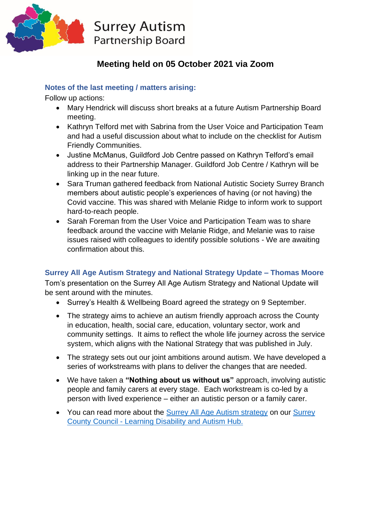

# **Meeting held on 05 October 2021 via Zoom**

# **Notes of the last meeting / matters arising:**

Follow up actions:

- Mary Hendrick will discuss short breaks at a future Autism Partnership Board meeting.
- Kathryn Telford met with Sabrina from the User Voice and Participation Team and had a useful discussion about what to include on the checklist for Autism Friendly Communities.
- Justine McManus, Guildford Job Centre passed on Kathryn Telford's email address to their Partnership Manager. Guildford Job Centre / Kathryn will be linking up in the near future.
- Sara Truman gathered feedback from National Autistic Society Surrey Branch members about autistic people's experiences of having (or not having) the Covid vaccine. This was shared with Melanie Ridge to inform work to support hard-to-reach people.
- Sarah Foreman from the User Voice and Participation Team was to share feedback around the vaccine with Melanie Ridge, and Melanie was to raise issues raised with colleagues to identify possible solutions - We are awaiting confirmation about this.

# **Surrey All Age Autism Strategy and National Strategy Update – Thomas Moore**

Tom's presentation on the Surrey All Age Autism Strategy and National Update will be sent around with the minutes.

- Surrey's Health & Wellbeing Board agreed the strategy on 9 September.
- The strategy aims to achieve an autism friendly approach across the County in education, health, social care, education, voluntary sector, work and community settings. It aims to reflect the whole life journey across the service system, which aligns with the National Strategy that was published in July.
- The strategy sets out our joint ambitions around autism. We have developed a series of workstreams with plans to deliver the changes that are needed.
- We have taken a **"Nothing about us without us"** approach, involving autistic people and family carers at every stage. Each workstream is co-led by a person with lived experience – either an autistic person or a family carer.
- You can read more about the [Surrey All Age Autism strategy](https://www.surreycc.gov.uk/social-care-and-health/adults/disabilities/spb/apb/sapb) on our Surrey County Council - [Learning Disability and Autism Hub.](https://www.surreycc.gov.uk/social-care-and-health/adults/disabilities/spb)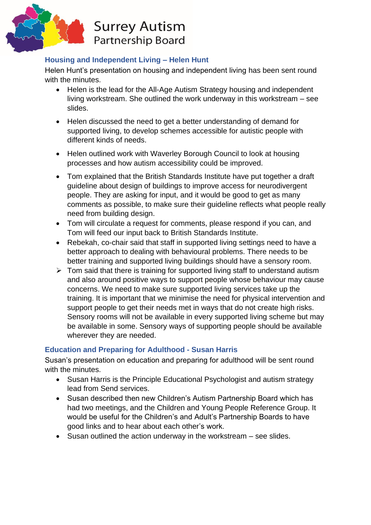

# **Housing and Independent Living – Helen Hunt**

Helen Hunt's presentation on housing and independent living has been sent round with the minutes.

- Helen is the lead for the All-Age Autism Strategy housing and independent living workstream. She outlined the work underway in this workstream – see slides.
- Helen discussed the need to get a better understanding of demand for supported living, to develop schemes accessible for autistic people with different kinds of needs.
- Helen outlined work with Waverley Borough Council to look at housing processes and how autism accessibility could be improved.
- Tom explained that the British Standards Institute have put together a draft guideline about design of buildings to improve access for neurodivergent people. They are asking for input, and it would be good to get as many comments as possible, to make sure their guideline reflects what people really need from building design.
- Tom will circulate a request for comments, please respond if you can, and Tom will feed our input back to British Standards Institute.
- Rebekah, co-chair said that staff in supported living settings need to have a better approach to dealing with behavioural problems. There needs to be better training and supported living buildings should have a sensory room.
- $\triangleright$  Tom said that there is training for supported living staff to understand autism and also around positive ways to support people whose behaviour may cause concerns. We need to make sure supported living services take up the training. It is important that we minimise the need for physical intervention and support people to get their needs met in ways that do not create high risks. Sensory rooms will not be available in every supported living scheme but may be available in some. Sensory ways of supporting people should be available wherever they are needed.

# **Education and Preparing for Adulthood - Susan Harris**

Susan's presentation on education and preparing for adulthood will be sent round with the minutes.

- Susan Harris is the Principle Educational Psychologist and autism strategy lead from Send services.
- Susan described then new Children's Autism Partnership Board which has had two meetings, and the Children and Young People Reference Group. It would be useful for the Children's and Adult's Partnership Boards to have good links and to hear about each other's work.
- Susan outlined the action underway in the workstream see slides.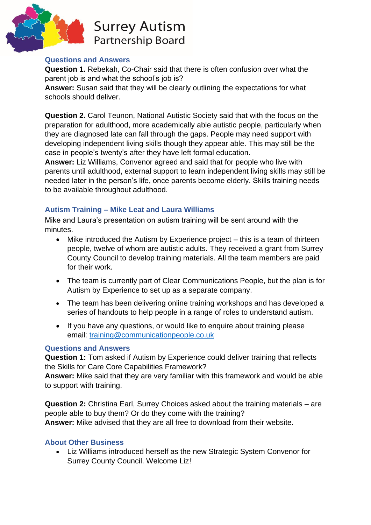

**Surrey Autism Partnership Board** 

### **Questions and Answers**

**Question 1.** Rebekah, Co-Chair said that there is often confusion over what the parent job is and what the school's job is?

**Answer:** Susan said that they will be clearly outlining the expectations for what schools should deliver.

**Question 2.** Carol Teunon, National Autistic Society said that with the focus on the preparation for adulthood, more academically able autistic people, particularly when they are diagnosed late can fall through the gaps. People may need support with developing independent living skills though they appear able. This may still be the case in people's twenty's after they have left formal education.

**Answer:** Liz Williams, Convenor agreed and said that for people who live with parents until adulthood, external support to learn independent living skills may still be needed later in the person's life, once parents become elderly. Skills training needs to be available throughout adulthood.

# **Autism Training – Mike Leat and Laura Williams**

Mike and Laura's presentation on autism training will be sent around with the minutes.

- Mike introduced the Autism by Experience project this is a team of thirteen people, twelve of whom are autistic adults. They received a grant from Surrey County Council to develop training materials. All the team members are paid for their work.
- The team is currently part of Clear Communications People, but the plan is for Autism by Experience to set up as a separate company.
- The team has been delivering online training workshops and has developed a series of handouts to help people in a range of roles to understand autism.
- If you have any questions, or would like to enquire about training please email: [training@communicationpeople.co.uk](mailto:training@communicationpeople.co.uk)

# **Questions and Answers**

**Question 1:** Tom asked if Autism by Experience could deliver training that reflects the Skills for Care Core Capabilities Framework?

**Answer:** Mike said that they are very familiar with this framework and would be able to support with training.

**Question 2:** Christina Earl, Surrey Choices asked about the training materials – are people able to buy them? Or do they come with the training? **Answer:** Mike advised that they are all free to download from their website.

# **About Other Business**

• Liz Williams introduced herself as the new Strategic System Convenor for Surrey County Council. Welcome Liz!